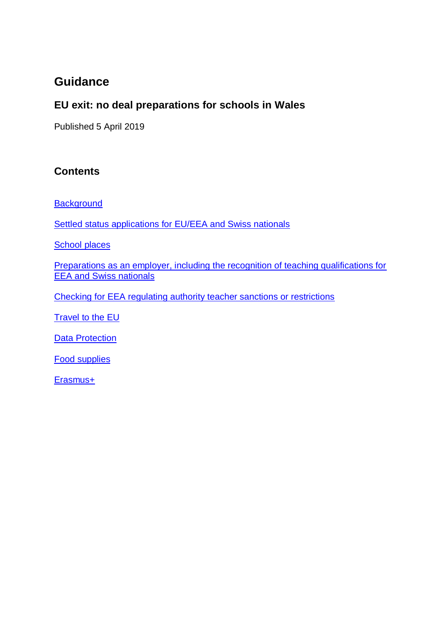# **Guidance**

## **EU exit: no deal preparations for schools in Wales**

<span id="page-0-0"></span>Published 5 April 2019

### **Contents**

**[Background](#page-1-0)** 

[Settled status applications for EU/EEA and Swiss nationals](#page-1-1)

[School places](#page-1-2)

[Preparations as an employer, including the recognition of teaching qualifications for](#page-2-0)  [EEA and Swiss nationals](#page-2-0)

[Checking for EEA regulating authority teacher sanctions or restrictions](#page-3-0)

**[Travel to the EU](#page-3-1)** 

**[Data Protection](#page-3-2)** 

[Food supplies](#page-3-3)

[Erasmus+](#page-4-0)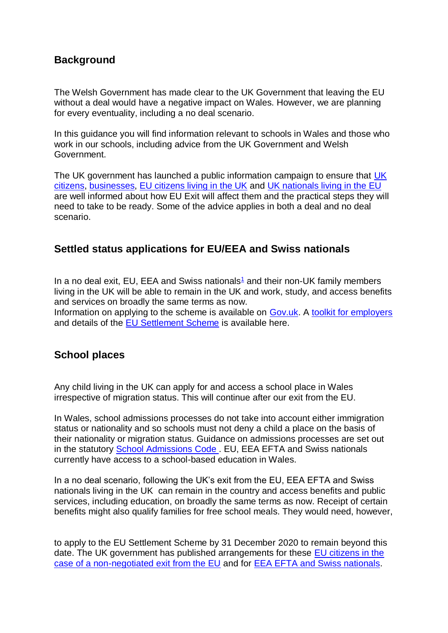#### <span id="page-1-0"></span>**Background**

The Welsh Government has made clear to the UK Government that leaving the EU without a deal would have a negative impact on Wales. However, we are planning for every eventuality, including a no deal scenario.

In this guidance you will find information relevant to schools in Wales and those who work in our schools, including advice from the UK Government and Welsh Government.

The [UK](https://www.gov.uk/prepare-eu-exit) government has launched a public information campaign to ensure that UK [citizens,](https://www.gov.uk/prepare-eu-exit) [businesses,](https://euexitbusiness.campaign.gov.uk/) [EU citizens living in the UK](https://www.gov.uk/staying-uk-eu-citizen) and [UK nationals living in the EU](https://www.gov.uk/uk-nationals-living-eu) are well informed about how EU Exit will affect them and the practical steps they will need to take to be ready. Some of the advice applies in both a deal and no deal scenario.

#### <span id="page-1-1"></span>**Settled status applications for EU/EEA and Swiss nationals**

In a no deal exit, EU, EEA and Swiss nationals<sup>[1](https://www.gov.uk/government/publications/eu-exit-no-deal-preparations-for-schools-in-england/eu-exit-no-deal-preparations-for-schools-in-england#fn:1)</sup> and their non-UK family members living in the UK will be able to remain in the UK and work, study, and access benefits and services on broadly the same terms as now.

Information on applying to the scheme is available on [Gov.uk.](https://www.gov.uk/government/brexit) A [toolkit for employers](https://www.gov.uk/government/publications/eu-settlement-scheme-employer-toolkit) and details of the **EU Settlement Scheme** is available here.

### <span id="page-1-2"></span>**School places**

Any child living in the UK can apply for and access a school place in Wales irrespective of migration status. This will continue after our exit from the EU.

In Wales, school admissions processes do not take into account either immigration status or nationality and so schools must not deny a child a place on the basis of their nationality or migration status. Guidance on admissions processes are set out in the statutory [School Admissions Code .](https://beta.gov.wales/sites/default/files/publications/2018-03/school-admissions-code.pdf) EU, EEA EFTA and Swiss nationals currently have access to a school-based education in Wales.

In a no deal scenario, following the UK's exit from the EU, EEA EFTA and Swiss nationals living in the UK can remain in the country and access benefits and public services, including education, on broadly the same terms as now. Receipt of certain benefits might also qualify families for free school meals. They would need, however,

to apply to the EU Settlement Scheme by 31 December 2020 to remain beyond this date. The UK government has published arrangements for these [EU citizens in the](https://assets.publishing.service.gov.uk/government/uploads/system/uploads/attachment_data/file/762222/Policy_paper_on_citizens__rights_in_the_event_of_a_no_deal_Brexit.pdf)  [case of a non-negotiated exit from the EU](https://assets.publishing.service.gov.uk/government/uploads/system/uploads/attachment_data/file/762222/Policy_paper_on_citizens__rights_in_the_event_of_a_no_deal_Brexit.pdf) and for [EEA EFTA and Swiss nationals.](https://www.gov.uk/government/news/uk-agreements-with-the-eea-efta-states-and-switzerland)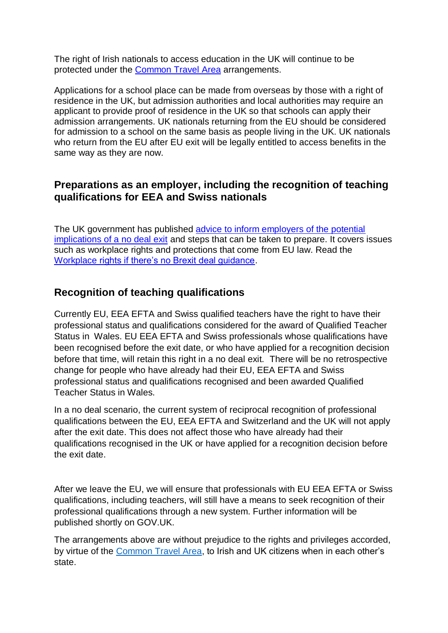The right of Irish nationals to access education in the UK will continue to be protected under the [Common Travel Area](https://www.gov.uk/government/publications/citizens-rights-uk-and-irish-nationals-in-the-common-travel-area/citizens-rights-uk-and-irish-nationals-in-the-common-travel-area) arrangements.

Applications for a school place can be made from overseas by those with a right of residence in the UK, but admission authorities and local authorities may require an applicant to provide proof of residence in the UK so that schools can apply their admission arrangements. UK nationals returning from the EU should be considered for admission to a school on the same basis as people living in the UK. UK nationals who return from the EU after EU exit will be legally entitled to access benefits in the same way as they are now.

#### <span id="page-2-0"></span>**Preparations as an employer, including the recognition of teaching qualifications for EEA and Swiss nationals**

The UK government has published [advice to inform employers of the potential](https://euexitbusiness.campaign.gov.uk/)  [implications of a no deal exit](https://euexitbusiness.campaign.gov.uk/) and steps that can be taken to prepare. It covers issues such as workplace rights and protections that come from EU law. Read the [Workplace rights if there's no Brexit deal guidance.](https://www.gov.uk/government/publications/workplace-rights-if-theres-no-brexit-deal/workplace-rights-if-theres-no-brexit-deal)

### **Recognition of teaching qualifications**

Currently EU, EEA EFTA and Swiss qualified teachers have the right to have their professional status and qualifications considered for the award of Qualified Teacher Status in Wales. EU EEA EFTA and Swiss professionals whose qualifications have been recognised before the exit date, or who have applied for a recognition decision before that time, will retain this right in a no deal exit. There will be no retrospective change for people who have already had their EU, EEA EFTA and Swiss professional status and qualifications recognised and been awarded Qualified Teacher Status in Wales.

In a no deal scenario, the current system of reciprocal recognition of professional qualifications between the EU, EEA EFTA and Switzerland and the UK will not apply after the exit date. This does not affect those who have already had their qualifications recognised in the UK or have applied for a recognition decision before the exit date.

After we leave the EU, we will ensure that professionals with EU EEA EFTA or Swiss qualifications, including teachers, will still have a means to seek recognition of their professional qualifications through a new system. Further information will be published shortly on GOV.UK.

The arrangements above are without prejudice to the rights and privileges accorded, by virtue of the [Common Travel Area,](https://emea01.safelinks.protection.outlook.com/?url=https%3A%2F%2Fwww.gov.uk%2Fgovernment%2Fpublications%2Fcitizens-rights-uk-and-irish-nationals-in-the-common-travel-area%2Fcitizens-rights-uk-and-irish-nationals-in-the-common-travel-area&data=02%7C01%7CAdele.Antill%40gov.wales%7C2af2f6af2d9f46b7b15408d6aed8a45a%7Ca2cc36c592804ae78887d06dab89216b%7C0%7C0%7C636888642840184761&sdata=KGyZg%2FPeQ3TWfAwpvZp02cFSt%2F6b9eAJ9gP5XufGy10%3D&reserved=0) to Irish and UK citizens when in each other's state.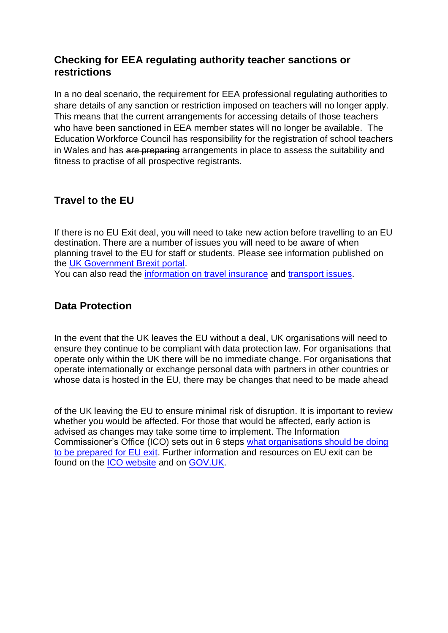#### **Checking for EEA regulating authority teacher sanctions or restrictions**

In a no deal scenario, the requirement for EEA professional regulating authorities to share details of any sanction or restriction imposed on teachers will no longer apply. This means that the current arrangements for accessing details of those teachers who have been sanctioned in EEA member states will no longer be available. The Education Workforce Council has responsibility for the registration of school teachers in Wales and has are preparing arrangements in place to assess the suitability and fitness to practise of all prospective registrants.

## <span id="page-3-1"></span><span id="page-3-0"></span>**Travel to the EU**

If there is no EU Exit deal, you will need to take new action before travelling to an EU destination. There are a number of issues you will need to be aware of when planning travel to the EU for staff or students. Please see information published on the [UK Government Brexit portal.](https://www.gov.uk/government/brexit) You can also read the [information on travel insurance](https://www.gov.uk/guidance/foreign-travel-insurance) and [transport issues.](https://www.gov.uk/prepare-eu-exit/transport)

#### <span id="page-3-2"></span>**Data Protection**

In the event that the UK leaves the EU without a deal, UK organisations will need to ensure they continue to be compliant with data protection law. For organisations that operate only within the UK there will be no immediate change. For organisations that operate internationally or exchange personal data with partners in other countries or whose data is hosted in the EU, there may be changes that need to be made ahead

<span id="page-3-3"></span>of the UK leaving the EU to ensure minimal risk of disruption. It is important to review whether you would be affected. For those that would be affected, early action is advised as changes may take some time to implement. The Information Commissioner's Office (ICO) sets out in 6 steps [what organisations should be doing](https://www.gov.uk/government/publications/data-protection-eu-exit-guidance/leaving-the-eu-without-a-deal-6-steps-to-take)  [to be prepared for EU exit.](https://www.gov.uk/government/publications/data-protection-eu-exit-guidance/leaving-the-eu-without-a-deal-6-steps-to-take) Further information and resources on EU exit can be found on the [ICO website](https://ico.org.uk/for-organisations/data-protection-and-brexit/) and on [GOV.UK.](https://www.gov.uk/find-eu-exit-guidance-business?keywords=&personal_data%5B%5D=processing-personal-data&personal_data%5B%5D=interacting-with-eea-website&personal_data%5B%5D=digital-service-provider)